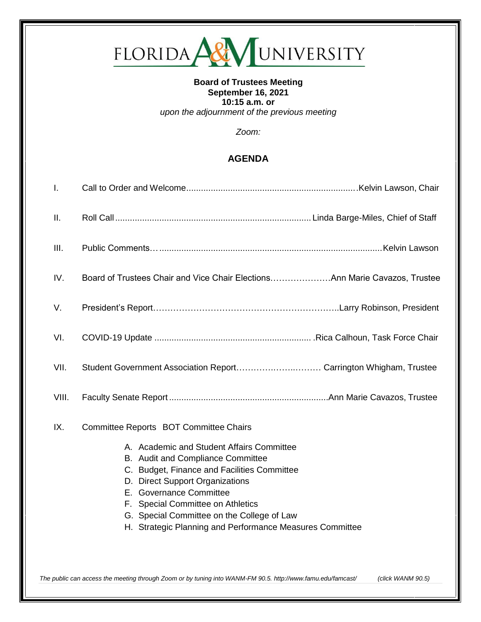# FLORIDA ARY UNIVERSITY

## **Board of Trustees Meeting September 16, 2021 10:15 a.m. or** *upon the adjournment of the previous meeting*

*Zoom:*

# **AGENDA**

| Ι.            |                                                                                                                                                                                                                                                                                                                                            |
|---------------|--------------------------------------------------------------------------------------------------------------------------------------------------------------------------------------------------------------------------------------------------------------------------------------------------------------------------------------------|
| П.            |                                                                                                                                                                                                                                                                                                                                            |
| III.          |                                                                                                                                                                                                                                                                                                                                            |
| IV.           | Board of Trustees Chair and Vice Chair ElectionsAnn Marie Cavazos, Trustee                                                                                                                                                                                                                                                                 |
| V.            |                                                                                                                                                                                                                                                                                                                                            |
| VI.           |                                                                                                                                                                                                                                                                                                                                            |
| VII.<br>VIII. | Student Government Association Report Carrington Whigham, Trustee                                                                                                                                                                                                                                                                          |
| IX.           | Committee Reports BOT Committee Chairs                                                                                                                                                                                                                                                                                                     |
|               | A. Academic and Student Affairs Committee<br>B. Audit and Compliance Committee<br>C. Budget, Finance and Facilities Committee<br>D. Direct Support Organizations<br>E. Governance Committee<br>F. Special Committee on Athletics<br>G. Special Committee on the College of Law<br>H. Strategic Planning and Performance Measures Committee |

*The public can access the meeting through Zoom or by tuning into WANM-FM 90.5.<http://www.famu.edu/famcast/> (click WANM 90.5)*